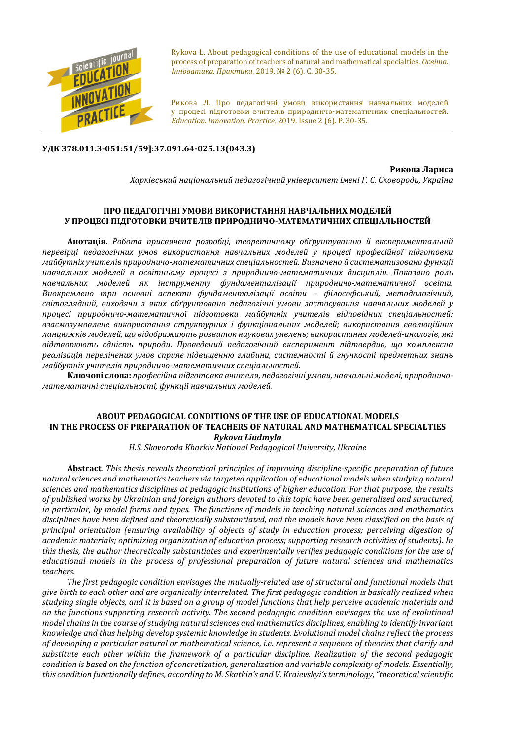

Rykova L. About pedagogical conditions of the use of educational models in the process of preparation of teachers of natural and mathematical specialties. *Освіта. Інноватика. Практика,* 2019. № 2 (6). С. 30-35.

Рикова Л. Про педагогічні умови використання навчальних моделей у процесі підготовки вчителів природничо-математичних спеціальностей. *Education. Innovation. Practice*, 2019. Issue 2 (6). Р. 30-35.

## **УДК 378.011.3-051:51/59]:37.091.64-025.13(043.3)**

**Рикова Лариса** *Харківський національний педагогічний університет імені Г. С. Сковороди, Україна*

## **ПРО ПЕДАГОГІЧНІ УМОВИ ВИКОРИСТАННЯ НАВЧАЛЬНИХ МОДЕЛЕЙ У ПРОЦЕСІ ПІДГОТОВКИ ВЧИТЕЛІВ ПРИРОДНИЧО-МАТЕМАТИЧНИХ СПЕЦІАЛЬНОСТЕЙ**

**Анотація.** *Робота присвячена розробці, теоретичному обґрунтуванню й експериментальній перевірці педагогічних умов використання навчальних моделей у процесі професійної підготовки майбутніх учителів природничо-математичних спеціальностей. Визначено й систематизовано функції навчальних моделей в освітньому процесі з природничо-математичних дисциплін. Показано роль навчальних моделей як інструменту фундаменталізації природничо-математичної освіти. Виокремлено три основні аспекти фундаменталізації освіти – філософський, методологічний, світоглядний, виходячи з яких обґрунтовано педагогічні умови застосування навчальних моделей у процесі природничо-математичної підготовки майбутніх учителів відповідних спеціальностей: взаємозумовлене використання структурних і функціональних моделей; використання еволюційних ланцюжків моделей, що відображають розвиток наукових уявлень; використання моделей-аналогів, які відтворюють єдність природи. Проведений педагогічний експеримент підтвердив, що комплексна реалізація перелічених умов сприяє підвищенню глибини, системності й гнучкості предметних знань майбутніх учителів природничо-математичних спеціальностей.*

**Ключові слова:** *професійна підготовка вчителя, педагогічні умови, навчальні моделі, природничоматематичні спеціальності, функції навчальних моделей.*

## **ABOUT PEDAGOGICAL CONDITIONS OF THE USE OF EDUCATIONAL MODELS IN THE PROCESS OF PREPARATION OF TEACHERS OF NATURAL AND MATHEMATICAL SPECIALTIES** *Rykova Liudmyla*

*H.S. Skovoroda Kharkiv National Pedagogical University, Ukraine*

**Abstract***. This thesis reveals theoretical principles of improving discipline-specific preparation of future natural sciences and mathematics teachers via targeted application of educational models when studying natural sciences and mathematics disciplines at pedagogic institutions of higher education. For that purpose, the results of published works by Ukrainian and foreign authors devoted to this topic have been generalized and structured, in particular, by model forms and types. The functions of models in teaching natural sciences and mathematics disciplines have been defined and theoretically substantiated, and the models have been classified on the basis of principal orientation (ensuring availability of objects of study in education process; perceiving digestion of academic materials; optimizing organization of education process; supporting research activities of students). In this thesis, the author theoretically substantiates and experimentally verifies pedagogic conditions for the use of educational models in the process of professional preparation of future natural sciences and mathematics teachers.*

*The first pedagogic condition envisages the mutually-related use of structural and functional models that give birth to each other and are organically interrelated. The first pedagogic condition is basically realized when studying single objects, and it is based on a group of model functions that help perceive academic materials and on the functions supporting research activity. The second pedagogic condition envisages the use of evolutional model chains in the course of studying natural sciences and mathematics disciplines, enabling to identify invariant knowledge and thus helping develop systemic knowledge in students. Evolutional model chains reflect the process of developing a particular natural or mathematical science, i.e. represent a sequence of theories that clarify and substitute each other within the framework of a particular discipline. Realization of the second pedagogic condition is based on the function of concretization, generalization and variable complexity of models. Essentially, this condition functionally defines, according to M. Skatkin's and V. Kraievskyi's terminology, "theoretical scientific*